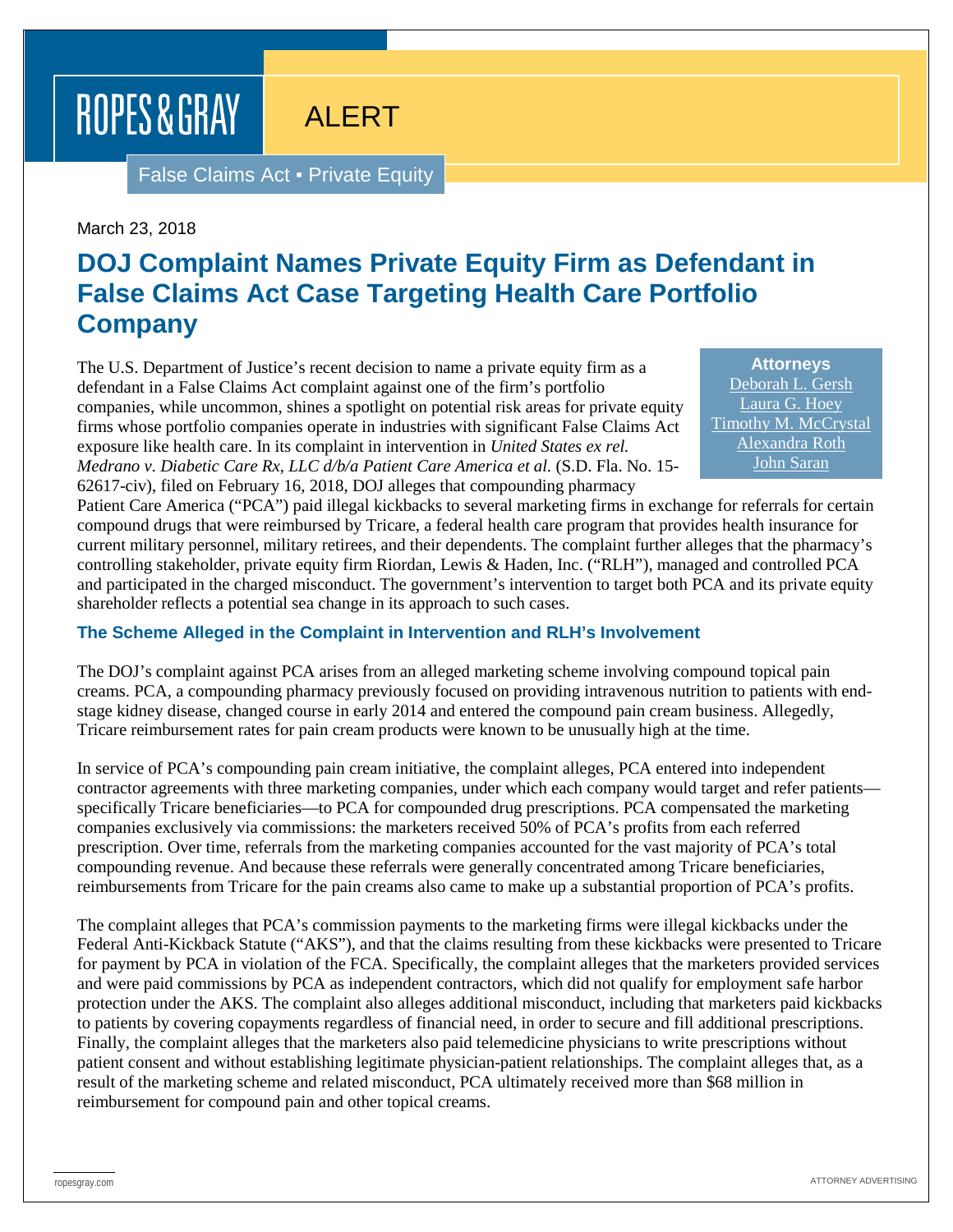# ROPES & GRAY

ALERT

False Claims Act ▪ Private Equity

March 23, 2018

## **DOJ Complaint Names Private Equity Firm as Defendant in False Claims Act Case Targeting Health Care Portfolio Company**

The U.S. Department of Justice's recent decision to name a private equity firm as a defendant in a False Claims Act complaint against one of the firm's portfolio companies, while uncommon, shines a spotlight on potential risk areas for private equity firms whose portfolio companies operate in industries with significant False Claims Act exposure like health care. In its complaint in intervention in *United States ex rel. Medrano v. Diabetic Care Rx, LLC d/b/a Patient Care America et al.* (S.D. Fla. No. 15- 62617-civ), filed on February 16, 2018, DOJ alleges that compounding pharmacy

**Attorneys** [Deborah L. Gersh](https://www.ropesgray.com/en/biographies/g/deborah-gersh) [Laura G. Hoey](https://www.ropesgray.com/en/biographies/h/laura-g-hoey) [Timothy M. McCrystal](https://www.ropesgray.com/en/biographies/m/timothy-m-mccrystal) [Alexandra Roth](https://www.ropesgray.com/en/biographies/r/alexandra-roth) [John Saran](https://www.ropesgray.com/en/biographies/s/john-saran)

Patient Care America ("PCA") paid illegal kickbacks to several marketing firms in exchange for referrals for certain compound drugs that were reimbursed by Tricare, a federal health care program that provides health insurance for current military personnel, military retirees, and their dependents. The complaint further alleges that the pharmacy's controlling stakeholder, private equity firm Riordan, Lewis & Haden, Inc. ("RLH"), managed and controlled PCA and participated in the charged misconduct. The government's intervention to target both PCA and its private equity shareholder reflects a potential sea change in its approach to such cases.

#### **The Scheme Alleged in the Complaint in Intervention and RLH's Involvement**

The DOJ's complaint against PCA arises from an alleged marketing scheme involving compound topical pain creams. PCA, a compounding pharmacy previously focused on providing intravenous nutrition to patients with endstage kidney disease, changed course in early 2014 and entered the compound pain cream business. Allegedly, Tricare reimbursement rates for pain cream products were known to be unusually high at the time.

In service of PCA's compounding pain cream initiative, the complaint alleges, PCA entered into independent contractor agreements with three marketing companies, under which each company would target and refer patients specifically Tricare beneficiaries—to PCA for compounded drug prescriptions. PCA compensated the marketing companies exclusively via commissions: the marketers received 50% of PCA's profits from each referred prescription. Over time, referrals from the marketing companies accounted for the vast majority of PCA's total compounding revenue. And because these referrals were generally concentrated among Tricare beneficiaries, reimbursements from Tricare for the pain creams also came to make up a substantial proportion of PCA's profits.

The complaint alleges that PCA's commission payments to the marketing firms were illegal kickbacks under the Federal Anti-Kickback Statute ("AKS"), and that the claims resulting from these kickbacks were presented to Tricare for payment by PCA in violation of the FCA. Specifically, the complaint alleges that the marketers provided services and were paid commissions by PCA as independent contractors, which did not qualify for employment safe harbor protection under the AKS. The complaint also alleges additional misconduct, including that marketers paid kickbacks to patients by covering copayments regardless of financial need, in order to secure and fill additional prescriptions. Finally, the complaint alleges that the marketers also paid telemedicine physicians to write prescriptions without patient consent and without establishing legitimate physician-patient relationships. The complaint alleges that, as a result of the marketing scheme and related misconduct, PCA ultimately received more than \$68 million in reimbursement for compound pain and other topical creams.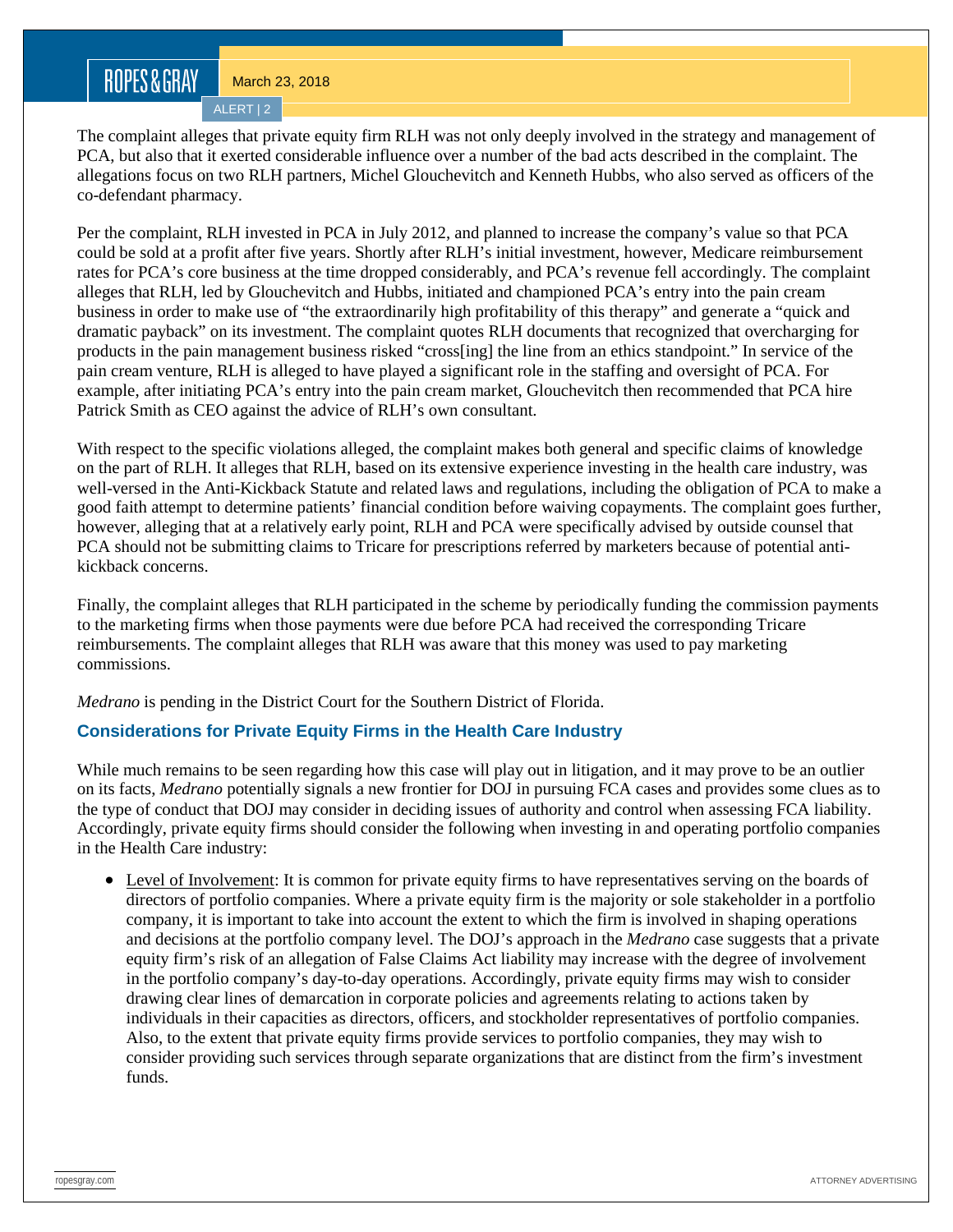ALERT | 2

The complaint alleges that private equity firm RLH was not only deeply involved in the strategy and management of PCA, but also that it exerted considerable influence over a number of the bad acts described in the complaint. The allegations focus on two RLH partners, Michel Glouchevitch and Kenneth Hubbs, who also served as officers of the co-defendant pharmacy.

Per the complaint, RLH invested in PCA in July 2012, and planned to increase the company's value so that PCA could be sold at a profit after five years. Shortly after RLH's initial investment, however, Medicare reimbursement rates for PCA's core business at the time dropped considerably, and PCA's revenue fell accordingly. The complaint alleges that RLH, led by Glouchevitch and Hubbs, initiated and championed PCA's entry into the pain cream business in order to make use of "the extraordinarily high profitability of this therapy" and generate a "quick and dramatic payback" on its investment. The complaint quotes RLH documents that recognized that overcharging for products in the pain management business risked "cross[ing] the line from an ethics standpoint." In service of the pain cream venture, RLH is alleged to have played a significant role in the staffing and oversight of PCA. For example, after initiating PCA's entry into the pain cream market, Glouchevitch then recommended that PCA hire Patrick Smith as CEO against the advice of RLH's own consultant.

With respect to the specific violations alleged, the complaint makes both general and specific claims of knowledge on the part of RLH. It alleges that RLH, based on its extensive experience investing in the health care industry, was well-versed in the Anti-Kickback Statute and related laws and regulations, including the obligation of PCA to make a good faith attempt to determine patients' financial condition before waiving copayments. The complaint goes further, however, alleging that at a relatively early point, RLH and PCA were specifically advised by outside counsel that PCA should not be submitting claims to Tricare for prescriptions referred by marketers because of potential antikickback concerns.

Finally, the complaint alleges that RLH participated in the scheme by periodically funding the commission payments to the marketing firms when those payments were due before PCA had received the corresponding Tricare reimbursements. The complaint alleges that RLH was aware that this money was used to pay marketing commissions.

*Medrano* is pending in the District Court for the Southern District of Florida.

### **Considerations for Private Equity Firms in the Health Care Industry**

While much remains to be seen regarding how this case will play out in litigation, and it may prove to be an outlier on its facts, *Medrano* potentially signals a new frontier for DOJ in pursuing FCA cases and provides some clues as to the type of conduct that DOJ may consider in deciding issues of authority and control when assessing FCA liability. Accordingly, private equity firms should consider the following when investing in and operating portfolio companies in the Health Care industry:

• Level of Involvement: It is common for private equity firms to have representatives serving on the boards of directors of portfolio companies. Where a private equity firm is the majority or sole stakeholder in a portfolio company, it is important to take into account the extent to which the firm is involved in shaping operations and decisions at the portfolio company level. The DOJ's approach in the *Medrano* case suggests that a private equity firm's risk of an allegation of False Claims Act liability may increase with the degree of involvement in the portfolio company's day-to-day operations. Accordingly, private equity firms may wish to consider drawing clear lines of demarcation in corporate policies and agreements relating to actions taken by individuals in their capacities as directors, officers, and stockholder representatives of portfolio companies. Also, to the extent that private equity firms provide services to portfolio companies, they may wish to consider providing such services through separate organizations that are distinct from the firm's investment funds.